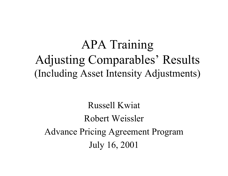## APA Training Adjusting Comparables' Results (Including Asset Intensity Adjustments)

Russell Kwiat Robert Weissler Advance Pricing Agreement Program July 16, 2001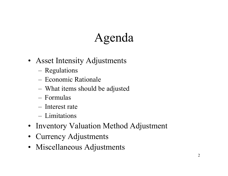# Agenda

- Asset Intensity Adjustments
	- –Regulations
	- Economic Rationale
	- –What items should be adjusted
	- Formulas
	- Interest rate
	- Limitations
- Inventory Valuation Method Adjustment
- Currency Adjustments
- Miscellaneous Adjustments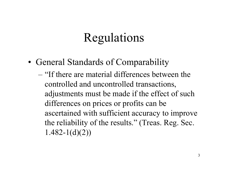# Regulations

- General Standards of Comparability
	- "If there are material differences between the controlled and uncontrolled transactions, adjustments must be made if the effect of such differences on prices or profits can be ascertained with sufficient accuracy to improve the reliability of the results." (Treas. Reg. Sec.  $1.482 - 1(d)(2)$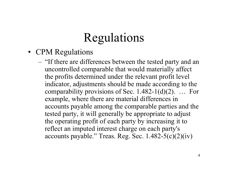# Regulations

- CPM Regulations
	- "If there are differences between the tested party and an uncontrolled comparable that would materially affect the profits determined under the relevant profit level indicator, adjustments should be made according to the comparability provisions of Sec.  $1.482-1(d)(2)$ . ... For example, where there are material differences in accounts payable among the comparable parties and the tested party, it will generally be appropriate to adjust the operating profit of each party by increasing it to reflect an imputed interest charge on each party's accounts payable." Treas. Reg. Sec.  $1.482-5(c)(2)(iv)$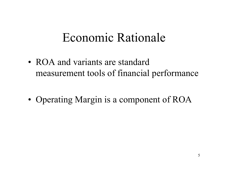• ROA and variants are standard measurement tools of financial performance

•• Operating Margin is a component of ROA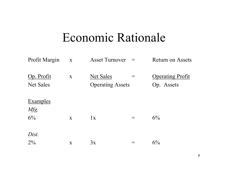| <b>Profit Margin</b>           | $\mathbf X$  | <b>Asset Turnover</b>                       | $\!\!\!=\!\!\!$ | <b>Return on Assets</b>               |
|--------------------------------|--------------|---------------------------------------------|-----------------|---------------------------------------|
| Op. Profit<br><b>Net Sales</b> | $\mathbf{X}$ | <b>Net Sales</b><br><b>Operating Assets</b> |                 | <b>Operating Profit</b><br>Op. Assets |
| <b>Examples</b>                |              |                                             |                 |                                       |
| Mfg.<br>6%                     | $\mathbf{X}$ | 1x                                          | $\!\!\!=\!\!\!$ | $6\%$                                 |
| Dist.                          |              |                                             |                 |                                       |
| $2\%$                          | $\mathbf X$  | 3x                                          |                 | 6%                                    |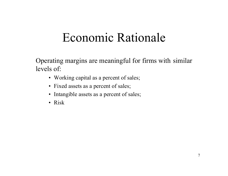Operating margins are meaningful for firms with similar levels of:

- Working capital as a percent of sales;
- Fixed assets as a percent of sales;
- Intangible assets as a percent of sales;
- Risk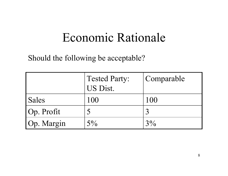Should the following be acceptable?

|            | <b>Tested Party:</b><br>US Dist. | Comparable |
|------------|----------------------------------|------------|
| Sales      | 100                              | 100        |
| Op. Profit | 5                                |            |
| Op. Margin | $5\%$                            | $3\%$      |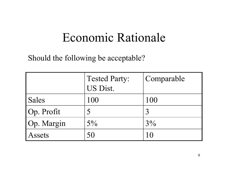Should the following be acceptable?

|            | <b>Tested Party:</b> | Comparable |
|------------|----------------------|------------|
|            | US Dist.             |            |
| Sales      | 100                  | 100        |
| Op. Profit | 5                    |            |
| Op. Margin | $5\%$                | $3\%$      |
| Assets     | 50                   | 10         |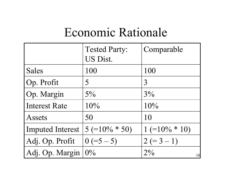|                      | <b>Tested Party:</b><br>US Dist. | Comparable       |
|----------------------|----------------------------------|------------------|
| <b>Sales</b>         | 100                              | 100              |
| Op. Profit           | 5                                | 3                |
| Op. Margin           | $5\%$                            | $3\%$            |
| <b>Interest Rate</b> | 10%                              | 10%              |
| Assets               | 50                               | 10               |
| Imputed Interest     | $5 (=10\% * 50)$                 | $1 (=10\% * 10)$ |
| Adj. Op. Profit      | $0 (=5 - 5)$                     | $2 (= 3 - 1)$    |
| Adj. Op. Margin      | $0\%$                            | $2\%$<br>10      |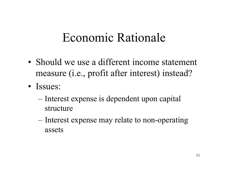- Should we use a different income statement measure (i.e., profit after interest) instead?
- Issues:
	- Interest expense is dependent upon capital structure
	- Interest expense may relate to non-operating assets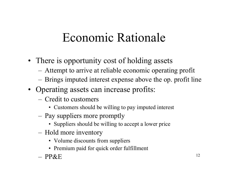- There is opportunity cost of holding assets
	- Attempt to arrive at reliable economic operating profit
	- Brings imputed interest expense above the op. profit line
- Operating assets can increase profits:
	- –Credit to customers
		- Customers should be willing to pay imputed interest
	- Pay suppliers more promptly
		- Suppliers should be willing to accept a lower price
	- Hold more inventory
		- Volume discounts from suppliers
		- Premium paid for quick order fulfillment
	- PP&E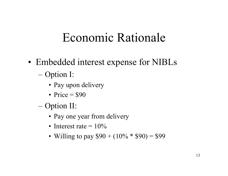- • Embedded interest expense for NIBLs
	- Option I:
		- Pay upon delivery
		- Price  $=$  \$90
	- Option II:
		- Pay one year from delivery
		- Interest rate  $=10\%$
		- Willing to pay  $$90 + (10\% * $90) = $99$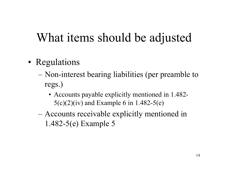- •• Regulations
	- Non-interest bearing liabilities (per preamble to regs.)
		- Accounts payable explicitly mentioned in 1.482-  $5(c)(2)(iv)$  and Example 6 in 1.482-5(e)
	- Accounts receivable explicitly mentioned in 1.482-5(e) Example 5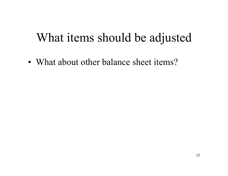• What about other balance sheet items?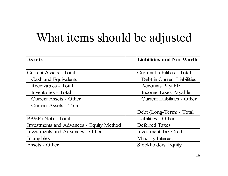| <b>Assets</b>                                   | <b>Liabilities and Net Worth</b>   |
|-------------------------------------------------|------------------------------------|
|                                                 |                                    |
| Current Assets - Total                          | <b>Current Liabilities - Total</b> |
| <b>Cash and Equivalents</b>                     | Debt in Current Liabilities        |
| Receivables - Total                             | <b>Accounts Payable</b>            |
| Inventories - Total                             | Income Taxes Payable               |
| <b>Current Assets - Other</b>                   | <b>Current Liabilities - Other</b> |
| <b>Current Assets - Total</b>                   |                                    |
|                                                 | Debt (Long-Term) - Total           |
| $PP&E(Net)$ - Total                             | Liabilities - Other                |
| <b>Investments and Advances - Equity Method</b> | <b>Deferred Taxes</b>              |
| <b>Investments and Advances - Other</b>         | <b>Investment Tax Credit</b>       |
| Intangibles                                     | <b>Minority Interest</b>           |
| Assets - Other                                  | Stockholders' Equity               |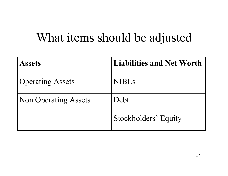| <b>Assets</b>               | <b>Liabilities and Net Worth</b> |
|-----------------------------|----------------------------------|
| <b>Operating Assets</b>     | <b>NIBLS</b>                     |
| <b>Non Operating Assets</b> | Debt                             |
|                             | Stockholders' Equity             |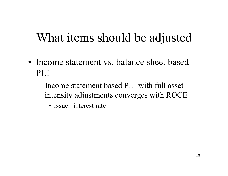- Income statement vs. balance sheet based PLI
	- –Income statement based PLI with full asset intensity adjustments converges with ROCE
		- Issue: interest rate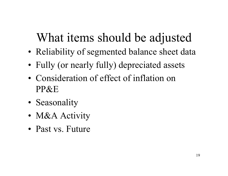- •• Reliability of segmented balance sheet data
- •Fully (or nearly fully) depreciated assets
- Consideration of effect of inflation on PP&E
- •• Seasonality
- •• M&A Activity
- •Past vs. Future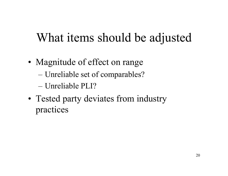- • Magnitude of effect on range
	- Unreliable set of comparables?
	- Unreliable PLI?
- Tested party deviates from industry practices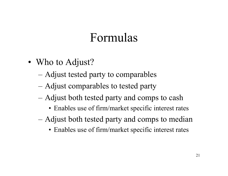- Who to Adjust?
	- Adjust tested party to comparables
	- Adjust comparables to tested party
	- Adjust both tested party and comps to cash
		- Enables use of firm/market specific interest rates
	- Adjust both tested party and comps to median
		- Enables use of firm/market specific interest rates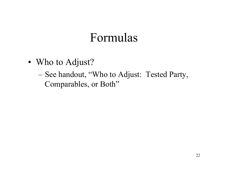- Who to Adjust?
	- See handout, "Who to Adjust: Tested Party, Comparables, or Both"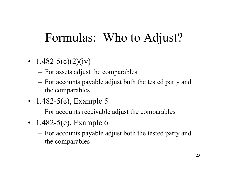# Formulas: Who to Adjust?

- 1.482-5(c)(2)(iv)
	- For assets adjust the comparables
	- For accounts payable adjust both the tested party and the comparables
- 1.482-5(e), Example 5
	- For accounts receivable adjust the comparables
- 1.482-5(e), Example 6
	- For accounts payable adjust both the tested party and the comparables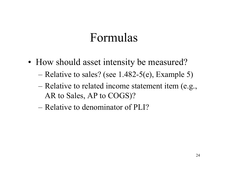- How should asset intensity be measured?
	- Relative to sales? (see 1.482-5(e), Example 5)
	- Relative to related income statement item (e.g., AR to Sales, AP to COGS)?
	- Relative to denominator of PLI?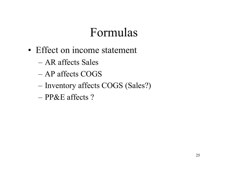- Effect on income statement
	- AR affects Sales
	- AP affects COGS
	- Inventory affects COGS (Sales?)
	- PP&E affects ?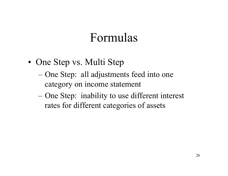- One Step vs. Multi Step
	- One Step: all adjustments feed into one category on income statement
	- One Step: inability to use different interest rates for different categories of assets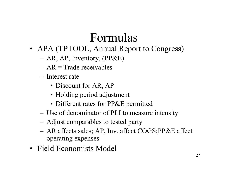- APA (TPTOOL, Annual Report to Congress)
	- –AR, AP, Inventory, (PP&E)
	- $AR = Trade received$
	- Interest rate
		- Discount for AR, AP
		- Holding period adjustment
		- Different rates for PP&E permitted
	- –Use of denominator of PLI to measure intensity
	- –Adjust comparables to tested party
	- – AR affects sales; AP, Inv. affect COGS;PP&E affect operating expenses
- Field Economists Model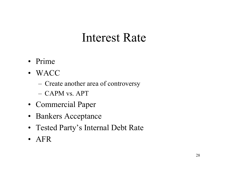- Prime
- WACC
	- Create another area of controversy
	- –CAPM vs. APT
- Commercial Paper
- Bankers Acceptance
- Tested Party's Internal Debt Rate
- AFR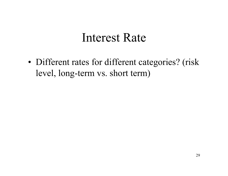•• Different rates for different categories? (risk level, long-term vs. short term)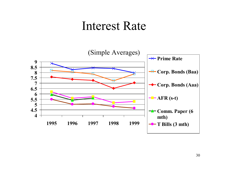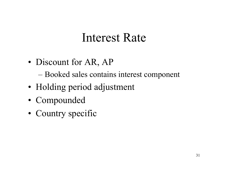•• Discount for AR, AP

– Booked sales contains interest component

- •• Holding period adjustment
- Compounded
- Country specific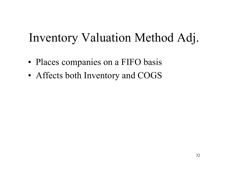# Inventory Valuation Method Adj.

- •• Places companies on a FIFO basis
- •Affects both Inventory and COGS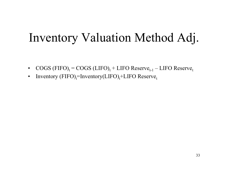# Inventory Valuation Method Adj.

- $\bullet$  $\text{COGS (FIFO)}_{\text{t}} = \text{COGS (LIFO)}_{\text{t}} + \text{LIFO Reserve}_{\text{t-1}} - \text{LIFO Reserve}_{\text{t}}$
- •Inventory (FIFO)<sub>t</sub>=Inventory(LIFO)<sub>t</sub>+LIFO Reserve<sub>t</sub>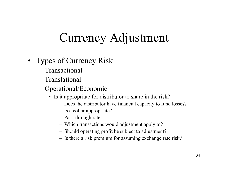# Currency Adjustment

- Types of Currency Risk
	- $-$  Transactional
	- –Translational
	- Operational/Economic
		- Is it appropriate for distributor to share in the risk?
			- Does the distributor have financial capacity to fund losses?
			- Is a collar appropriate?
			- Pass-through rates
			- Which transactions would adjustment apply to?
			- Should operating profit be subject to adjustment?
			- Is there a risk premium for assuming exchange rate risk?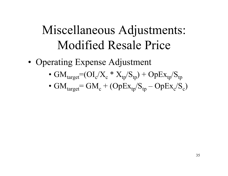# Miscellaneous Adjustments: Modified Resale Price

- •• Operating Expense Adjustment
	- G  $\rm M_{target}\!\!=\!\!(O I_c\!/X_c * X_{tp}\!/S_{tp})+OpEx_{tp}\!/S_{tp}$
	- G  $\rm M_{target}\rm = GM_c + (OpEx_{tp}/S_{tp} - OpEx_c/S_c)$